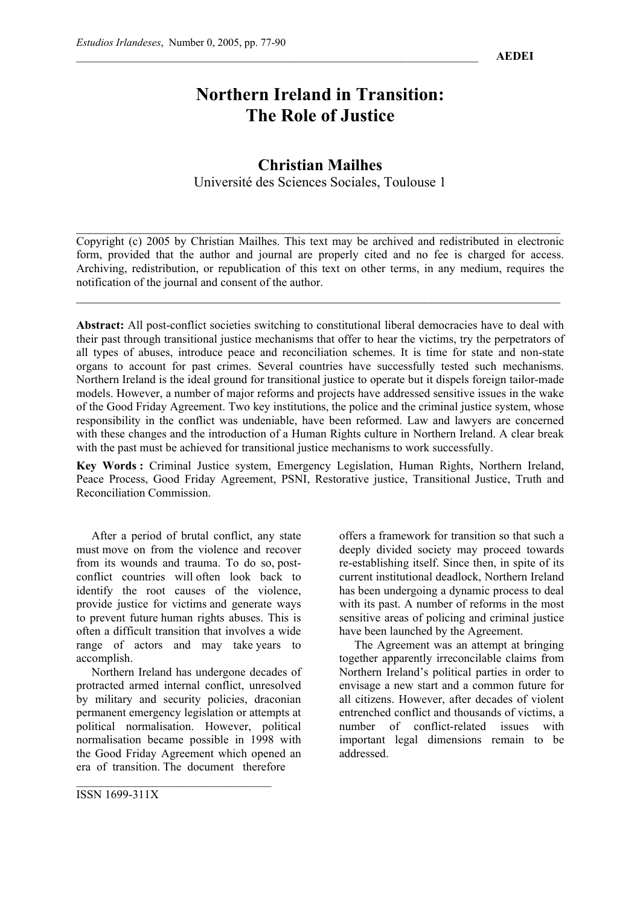# **Northern Ireland in Transition: The Role of Justice**

# **Christian Mailhes**

Université des Sciences Sociales, Toulouse 1

Copyright (c) 2005 by Christian Mailhes. This text may be archived and redistributed in electronic form, provided that the author and journal are properly cited and no fee is charged for access. Archiving, redistribution, or republication of this text on other terms, in any medium, requires the notification of the journal and consent of the author.

 $\mathcal{L}_\mathcal{L} = \{ \mathcal{L}_\mathcal{L} = \{ \mathcal{L}_\mathcal{L} = \{ \mathcal{L}_\mathcal{L} = \{ \mathcal{L}_\mathcal{L} = \{ \mathcal{L}_\mathcal{L} = \{ \mathcal{L}_\mathcal{L} = \{ \mathcal{L}_\mathcal{L} = \{ \mathcal{L}_\mathcal{L} = \{ \mathcal{L}_\mathcal{L} = \{ \mathcal{L}_\mathcal{L} = \{ \mathcal{L}_\mathcal{L} = \{ \mathcal{L}_\mathcal{L} = \{ \mathcal{L}_\mathcal{L} = \{ \mathcal{L}_\mathcal{$ 

 $\mathcal{L}_\mathcal{L} = \{ \mathcal{L}_\mathcal{L} = \{ \mathcal{L}_\mathcal{L} = \{ \mathcal{L}_\mathcal{L} = \{ \mathcal{L}_\mathcal{L} = \{ \mathcal{L}_\mathcal{L} = \{ \mathcal{L}_\mathcal{L} = \{ \mathcal{L}_\mathcal{L} = \{ \mathcal{L}_\mathcal{L} = \{ \mathcal{L}_\mathcal{L} = \{ \mathcal{L}_\mathcal{L} = \{ \mathcal{L}_\mathcal{L} = \{ \mathcal{L}_\mathcal{L} = \{ \mathcal{L}_\mathcal{L} = \{ \mathcal{L}_\mathcal{$ 

**Abstract:** All post-conflict societies switching to constitutional liberal democracies have to deal with their past through transitional justice mechanisms that offer to hear the victims, try the perpetrators of all types of abuses, introduce peace and reconciliation schemes. It is time for state and non-state organs to account for past crimes. Several countries have successfully tested such mechanisms. Northern Ireland is the ideal ground for transitional justice to operate but it dispels foreign tailor-made models. However, a number of major reforms and projects have addressed sensitive issues in the wake of the Good Friday Agreement. Two key institutions, the police and the criminal justice system, whose responsibility in the conflict was undeniable, have been reformed. Law and lawyers are concerned with these changes and the introduction of a Human Rights culture in Northern Ireland. A clear break with the past must be achieved for transitional justice mechanisms to work successfully.

**Key Words :** Criminal Justice system, Emergency Legislation, Human Rights, Northern Ireland, Peace Process, Good Friday Agreement, PSNI, Restorative justice, Transitional Justice, Truth and Reconciliation Commission.

After a period of brutal conflict, any state must move on from the violence and recover from its wounds and trauma. To do so, postconflict countries will often look back to identify the root causes of the violence, provide justice for victims and generate ways to prevent future human rights abuses. This is often a difficult transition that involves a wide range of actors and may take years to accomplish.

Northern Ireland has undergone decades of protracted armed internal conflict, unresolved by military and security policies, draconian permanent emergency legislation or attempts at political normalisation. However, political normalisation became possible in 1998 with the Good Friday Agreement which opened an era of transition. The document therefore

 $\mathcal{L}_\text{max}$  , where  $\mathcal{L}_\text{max}$  and  $\mathcal{L}_\text{max}$ 

offers a framework for transition so that such a deeply divided society may proceed towards re-establishing itself. Since then, in spite of its current institutional deadlock, Northern Ireland has been undergoing a dynamic process to deal with its past. A number of reforms in the most sensitive areas of policing and criminal justice have been launched by the Agreement.

The Agreement was an attempt at bringing together apparently irreconcilable claims from Northern Ireland's political parties in order to envisage a new start and a common future for all citizens. However, after decades of violent entrenched conflict and thousands of victims, a number of conflict-related issues with important legal dimensions remain to be addressed.

ISSN 1699-311X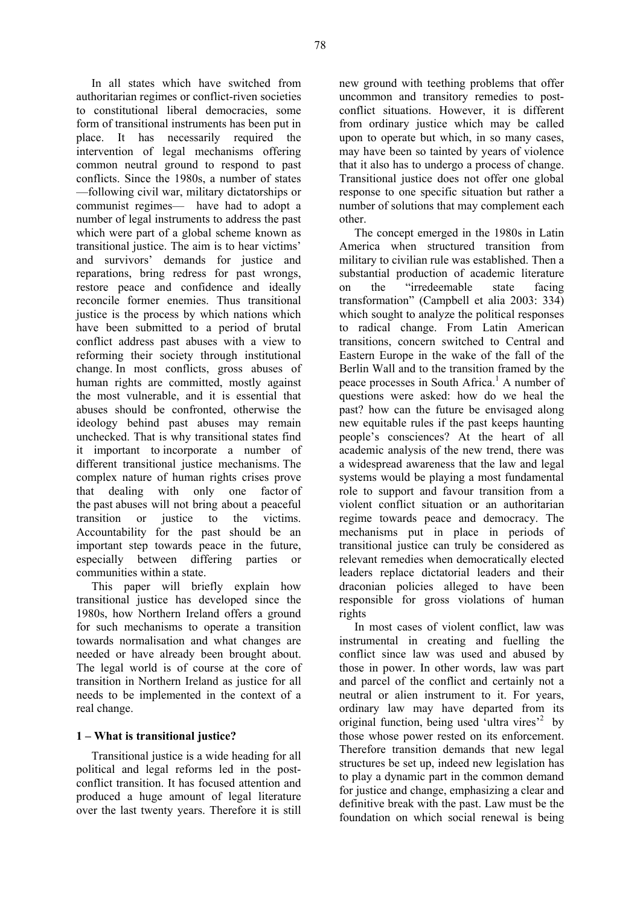In all states which have switched from authoritarian regimes or conflict-riven societies to constitutional liberal democracies, some form of transitional instruments has been put in place. It has necessarily required the intervention of legal mechanisms offering common neutral ground to respond to past conflicts. Since the 1980s, a number of states —following civil war, military dictatorships or communist regimes— have had to adopt a number of legal instruments to address the past which were part of a global scheme known as transitional justice. The aim is to hear victims' and survivors' demands for justice and reparations, bring redress for past wrongs, restore peace and confidence and ideally reconcile former enemies. Thus transitional justice is the process by which nations which have been submitted to a period of brutal conflict address past abuses with a view to reforming their society through institutional change. In most conflicts, gross abuses of human rights are committed, mostly against the most vulnerable, and it is essential that abuses should be confronted, otherwise the ideology behind past abuses may remain unchecked. That is why transitional states find it important to incorporate a number of different transitional justice mechanisms. The complex nature of human rights crises prove that dealing with only one factor of the past abuses will not bring about a peaceful transition or justice to the victims. Accountability for the past should be an important step towards peace in the future, especially between differing parties or communities within a state.

This paper will briefly explain how transitional justice has developed since the 1980s, how Northern Ireland offers a ground for such mechanisms to operate a transition towards normalisation and what changes are needed or have already been brought about. The legal world is of course at the core of transition in Northern Ireland as justice for all needs to be implemented in the context of a real change.

#### **1 – What is transitional justice?**

Transitional justice is a wide heading for all political and legal reforms led in the postconflict transition. It has focused attention and produced a huge amount of legal literature over the last twenty years. Therefore it is still new ground with teething problems that offer uncommon and transitory remedies to postconflict situations. However, it is different from ordinary justice which may be called upon to operate but which, in so many cases, may have been so tainted by years of violence that it also has to undergo a process of change. Transitional justice does not offer one global response to one specific situation but rather a number of solutions that may complement each other.

The concept emerged in the 1980s in Latin America when structured transition from military to civilian rule was established. Then a substantial production of academic literature on the "irredeemable state facing transformation" (Campbell et alia 2003: 334) which sought to analyze the political responses to radical change. From Latin American transitions, concern switched to Central and Eastern Europe in the wake of the fall of the Berlin Wall and to the transition framed by the peace processes in South Africa.<sup>1</sup> A number of questions were asked: how do we heal the past? how can the future be envisaged along new equitable rules if the past keeps haunting people's consciences? At the heart of all academic analysis of the new trend, there was a widespread awareness that the law and legal systems would be playing a most fundamental role to support and favour transition from a violent conflict situation or an authoritarian regime towards peace and democracy. The mechanisms put in place in periods of transitional justice can truly be considered as relevant remedies when democratically elected leaders replace dictatorial leaders and their draconian policies alleged to have been responsible for gross violations of human rights

In most cases of violent conflict, law was instrumental in creating and fuelling the conflict since law was used and abused by those in power. In other words, law was part and parcel of the conflict and certainly not a neutral or alien instrument to it. For years, ordinary law may have departed from its original function, being used 'ultra vires'<sup>2</sup> by those whose power rested on its enforcement. Therefore transition demands that new legal structures be set up, indeed new legislation has to play a dynamic part in the common demand for justice and change, emphasizing a clear and definitive break with the past. Law must be the foundation on which social renewal is being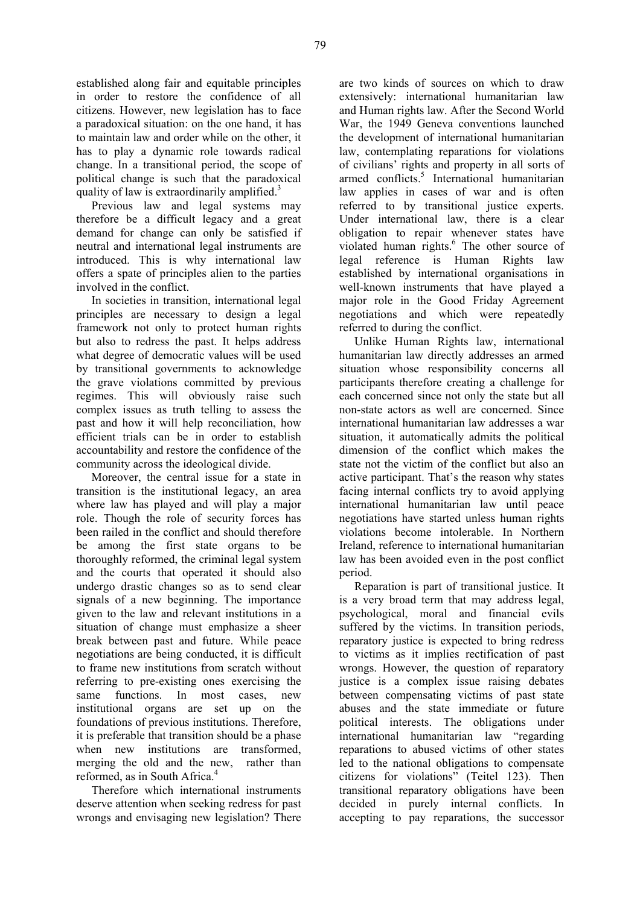established along fair and equitable principles in order to restore the confidence of all citizens. However, new legislation has to face a paradoxical situation: on the one hand, it has to maintain law and order while on the other, it has to play a dynamic role towards radical change. In a transitional period, the scope of political change is such that the paradoxical quality of law is extraordinarily amplified.<sup>3</sup>

Previous law and legal systems may therefore be a difficult legacy and a great demand for change can only be satisfied if neutral and international legal instruments are introduced. This is why international law offers a spate of principles alien to the parties involved in the conflict.

In societies in transition, international legal principles are necessary to design a legal framework not only to protect human rights but also to redress the past. It helps address what degree of democratic values will be used by transitional governments to acknowledge the grave violations committed by previous regimes. This will obviously raise such complex issues as truth telling to assess the past and how it will help reconciliation, how efficient trials can be in order to establish accountability and restore the confidence of the community across the ideological divide.

Moreover, the central issue for a state in transition is the institutional legacy, an area where law has played and will play a major role. Though the role of security forces has been railed in the conflict and should therefore be among the first state organs to be thoroughly reformed, the criminal legal system and the courts that operated it should also undergo drastic changes so as to send clear signals of a new beginning. The importance given to the law and relevant institutions in a situation of change must emphasize a sheer break between past and future. While peace negotiations are being conducted, it is difficult to frame new institutions from scratch without referring to pre-existing ones exercising the same functions. In most cases, new institutional organs are set up on the foundations of previous institutions. Therefore, it is preferable that transition should be a phase when new institutions are transformed, merging the old and the new, rather than reformed, as in South Africa.<sup>4</sup>

Therefore which international instruments deserve attention when seeking redress for past wrongs and envisaging new legislation? There are two kinds of sources on which to draw extensively: international humanitarian law and Human rights law. After the Second World War, the 1949 Geneva conventions launched the development of international humanitarian law, contemplating reparations for violations of civilians' rights and property in all sorts of armed conflicts.<sup>5</sup> International humanitarian law applies in cases of war and is often referred to by transitional justice experts. Under international law, there is a clear obligation to repair whenever states have violated human rights.<sup>6</sup> The other source of legal reference is Human Rights law established by international organisations in well-known instruments that have played a major role in the Good Friday Agreement negotiations and which were repeatedly referred to during the conflict.

Unlike Human Rights law, international humanitarian law directly addresses an armed situation whose responsibility concerns all participants therefore creating a challenge for each concerned since not only the state but all non-state actors as well are concerned. Since international humanitarian law addresses a war situation, it automatically admits the political dimension of the conflict which makes the state not the victim of the conflict but also an active participant. That's the reason why states facing internal conflicts try to avoid applying international humanitarian law until peace negotiations have started unless human rights violations become intolerable. In Northern Ireland, reference to international humanitarian law has been avoided even in the post conflict period.

Reparation is part of transitional justice. It is a very broad term that may address legal, psychological, moral and financial evils suffered by the victims. In transition periods, reparatory justice is expected to bring redress to victims as it implies rectification of past wrongs. However, the question of reparatory justice is a complex issue raising debates between compensating victims of past state abuses and the state immediate or future political interests. The obligations under international humanitarian law "regarding reparations to abused victims of other states led to the national obligations to compensate citizens for violations" (Teitel 123). Then transitional reparatory obligations have been decided in purely internal conflicts. In accepting to pay reparations, the successor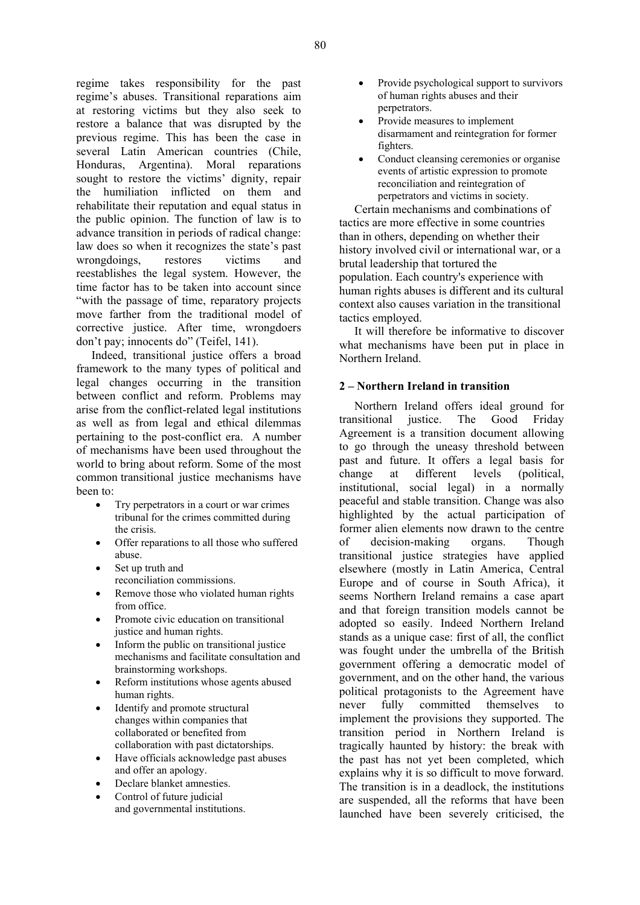regime takes responsibility for the past regime's abuses. Transitional reparations aim at restoring victims but they also seek to restore a balance that was disrupted by the previous regime. This has been the case in several Latin American countries (Chile, Honduras, Argentina). Moral reparations sought to restore the victims' dignity, repair the humiliation inflicted on them and rehabilitate their reputation and equal status in the public opinion. The function of law is to advance transition in periods of radical change: law does so when it recognizes the state's past wrongdoings, restores victims and reestablishes the legal system. However, the time factor has to be taken into account since "with the passage of time, reparatory projects move farther from the traditional model of corrective justice. After time, wrongdoers don't pay; innocents do" (Teifel, 141).

Indeed, transitional justice offers a broad framework to the many types of political and legal changes occurring in the transition between conflict and reform. Problems may arise from the conflict-related legal institutions as well as from legal and ethical dilemmas pertaining to the post-conflict era. A number of mechanisms have been used throughout the world to bring about reform. Some of the most common transitional justice mechanisms have been to:

- Try perpetrators in a court or war crimes tribunal for the crimes committed during the crisis.
- Offer reparations to all those who suffered abuse.
- Set up truth and
- reconciliation commissions.
- Remove those who violated human rights from office.
- Promote civic education on transitional justice and human rights.
- Inform the public on transitional justice mechanisms and facilitate consultation and brainstorming workshops.
- Reform institutions whose agents abused human rights.
- Identify and promote structural changes within companies that collaborated or benefited from collaboration with past dictatorships.
- Have officials acknowledge past abuses and offer an apology.
- Declare blanket amnesties.
- Control of future judicial and governmental institutions.
- Provide psychological support to survivors of human rights abuses and their perpetrators.
- Provide measures to implement disarmament and reintegration for former fighters.
- Conduct cleansing ceremonies or organise events of artistic expression to promote reconciliation and reintegration of perpetrators and victims in society.

Certain mechanisms and combinations of tactics are more effective in some countries than in others, depending on whether their history involved civil or international war, or a brutal leadership that tortured the population. Each country's experience with human rights abuses is different and its cultural context also causes variation in the transitional tactics employed.

It will therefore be informative to discover what mechanisms have been put in place in Northern Ireland.

# **2 – Northern Ireland in transition**

Northern Ireland offers ideal ground for transitional justice. The Good Friday Agreement is a transition document allowing to go through the uneasy threshold between past and future. It offers a legal basis for change at different levels (political, institutional, social legal) in a normally peaceful and stable transition. Change was also highlighted by the actual participation of former alien elements now drawn to the centre of decision-making organs. Though transitional justice strategies have applied elsewhere (mostly in Latin America, Central Europe and of course in South Africa), it seems Northern Ireland remains a case apart and that foreign transition models cannot be adopted so easily. Indeed Northern Ireland stands as a unique case: first of all, the conflict was fought under the umbrella of the British government offering a democratic model of government, and on the other hand, the various political protagonists to the Agreement have never fully committed themselves to implement the provisions they supported. The transition period in Northern Ireland is tragically haunted by history: the break with the past has not yet been completed, which explains why it is so difficult to move forward. The transition is in a deadlock, the institutions are suspended, all the reforms that have been launched have been severely criticised, the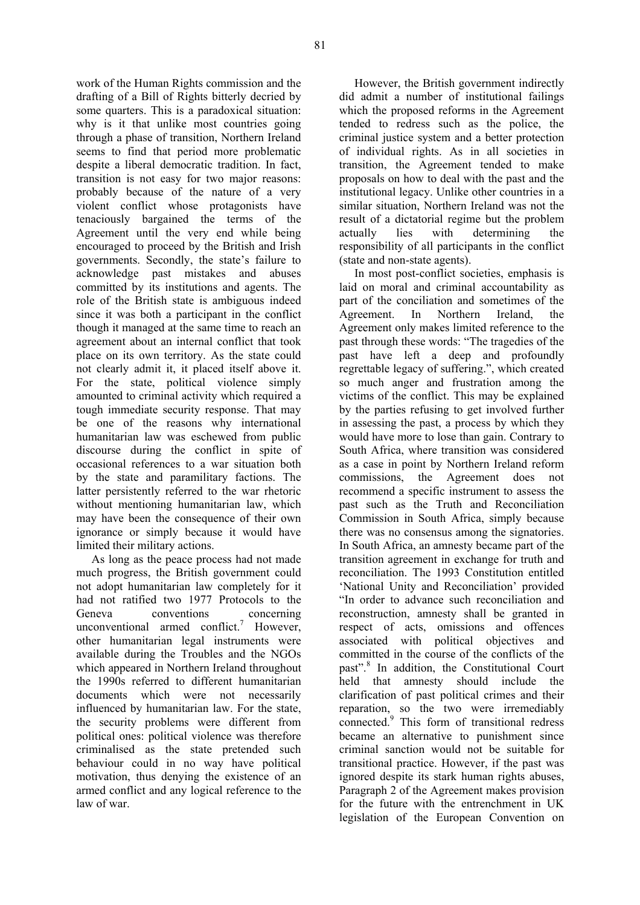work of the Human Rights commission and the drafting of a Bill of Rights bitterly decried by some quarters. This is a paradoxical situation: why is it that unlike most countries going through a phase of transition, Northern Ireland seems to find that period more problematic despite a liberal democratic tradition. In fact, transition is not easy for two major reasons: probably because of the nature of a very violent conflict whose protagonists have tenaciously bargained the terms of the Agreement until the very end while being encouraged to proceed by the British and Irish governments. Secondly, the state's failure to acknowledge past mistakes and abuses committed by its institutions and agents. The role of the British state is ambiguous indeed since it was both a participant in the conflict though it managed at the same time to reach an agreement about an internal conflict that took place on its own territory. As the state could not clearly admit it, it placed itself above it. For the state, political violence simply amounted to criminal activity which required a tough immediate security response. That may be one of the reasons why international humanitarian law was eschewed from public discourse during the conflict in spite of occasional references to a war situation both by the state and paramilitary factions. The latter persistently referred to the war rhetoric without mentioning humanitarian law, which may have been the consequence of their own ignorance or simply because it would have limited their military actions.

As long as the peace process had not made much progress, the British government could not adopt humanitarian law completely for it had not ratified two 1977 Protocols to the Geneva conventions concerning unconventional armed conflict.<sup>7</sup> However, other humanitarian legal instruments were available during the Troubles and the NGOs which appeared in Northern Ireland throughout the 1990s referred to different humanitarian documents which were not necessarily influenced by humanitarian law. For the state, the security problems were different from political ones: political violence was therefore criminalised as the state pretended such behaviour could in no way have political motivation, thus denying the existence of an armed conflict and any logical reference to the law of war.

However, the British government indirectly did admit a number of institutional failings which the proposed reforms in the Agreement tended to redress such as the police, the criminal justice system and a better protection of individual rights. As in all societies in transition, the Agreement tended to make proposals on how to deal with the past and the institutional legacy. Unlike other countries in a similar situation, Northern Ireland was not the result of a dictatorial regime but the problem actually lies with determining the responsibility of all participants in the conflict (state and non-state agents).

In most post-conflict societies, emphasis is laid on moral and criminal accountability as part of the conciliation and sometimes of the Agreement. In Northern Ireland, the Agreement only makes limited reference to the past through these words: "The tragedies of the past have left a deep and profoundly regrettable legacy of suffering.", which created so much anger and frustration among the victims of the conflict. This may be explained by the parties refusing to get involved further in assessing the past, a process by which they would have more to lose than gain. Contrary to South Africa, where transition was considered as a case in point by Northern Ireland reform commissions, the Agreement does not recommend a specific instrument to assess the past such as the Truth and Reconciliation Commission in South Africa, simply because there was no consensus among the signatories. In South Africa, an amnesty became part of the transition agreement in exchange for truth and reconciliation. The 1993 Constitution entitled 'National Unity and Reconciliation' provided "In order to advance such reconciliation and reconstruction, amnesty shall be granted in respect of acts, omissions and offences associated with political objectives and committed in the course of the conflicts of the past".<sup>8</sup> In addition, the Constitutional Court held that amnesty should include the clarification of past political crimes and their reparation, so the two were irremediably connected.<sup>9</sup> This form of transitional redress became an alternative to punishment since criminal sanction would not be suitable for transitional practice. However, if the past was ignored despite its stark human rights abuses, Paragraph 2 of the Agreement makes provision for the future with the entrenchment in UK legislation of the European Convention on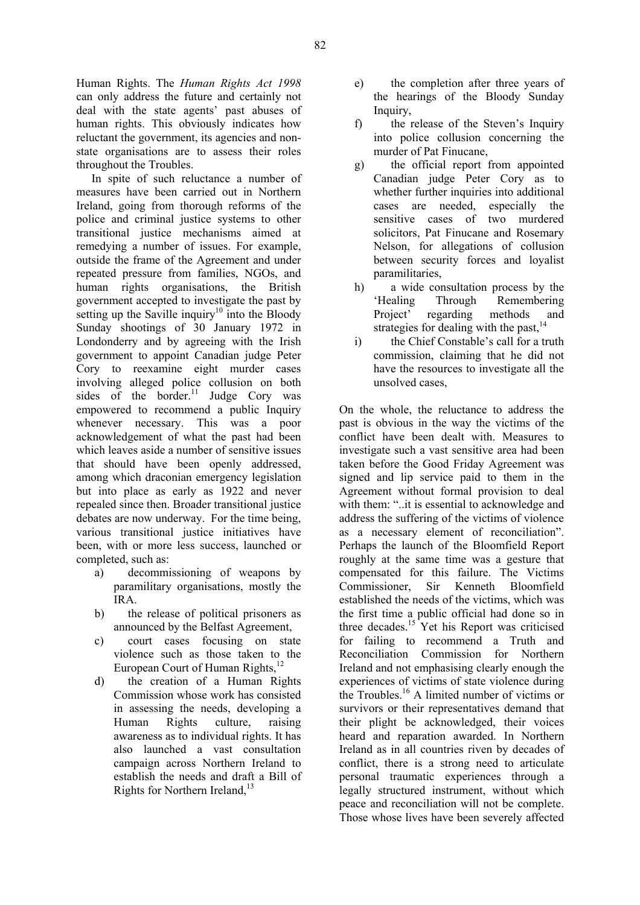In spite of such reluctance a number of measures have been carried out in Northern Ireland, going from thorough reforms of the police and criminal justice systems to other transitional justice mechanisms aimed at remedying a number of issues. For example, outside the frame of the Agreement and under repeated pressure from families, NGOs, and human rights organisations, the British government accepted to investigate the past by setting up the Saville inquiry<sup>10</sup> into the Bloody Sunday shootings of 30 January 1972 in Londonderry and by agreeing with the Irish government to appoint Canadian judge Peter Cory to reexamine eight murder cases involving alleged police collusion on both sides of the border.<sup>11</sup> Judge Cory was empowered to recommend a public Inquiry whenever necessary. This was a poor acknowledgement of what the past had been which leaves aside a number of sensitive issues that should have been openly addressed, among which draconian emergency legislation but into place as early as 1922 and never repealed since then. Broader transitional justice debates are now underway. For the time being, various transitional justice initiatives have been, with or more less success, launched or completed, such as:

- a) decommissioning of weapons by paramilitary organisations, mostly the IRA.
- b) the release of political prisoners as announced by the Belfast Agreement,
- c) court cases focusing on state violence such as those taken to the European Court of Human Rights, $^{12}$
- d) the creation of a Human Rights Commission whose work has consisted in assessing the needs, developing a Human Rights culture, raising awareness as to individual rights. It has also launched a vast consultation campaign across Northern Ireland to establish the needs and draft a Bill of Rights for Northern Ireland, $^{13}$
- e) the completion after three years of the hearings of the Bloody Sunday Inquiry,
- f) the release of the Steven's Inquiry into police collusion concerning the murder of Pat Finucane,
- g) the official report from appointed Canadian judge Peter Cory as to whether further inquiries into additional cases are needed, especially the sensitive cases of two murdered solicitors, Pat Finucane and Rosemary Nelson, for allegations of collusion between security forces and loyalist paramilitaries,
- h) a wide consultation process by the 'Healing Through Remembering Project' regarding methods and strategies for dealing with the past.<sup>14</sup>
- i) the Chief Constable's call for a truth commission, claiming that he did not have the resources to investigate all the unsolved cases,

On the whole, the reluctance to address the past is obvious in the way the victims of the conflict have been dealt with. Measures to investigate such a vast sensitive area had been taken before the Good Friday Agreement was signed and lip service paid to them in the Agreement without formal provision to deal with them: "..it is essential to acknowledge and address the suffering of the victims of violence as a necessary element of reconciliation". Perhaps the launch of the Bloomfield Report roughly at the same time was a gesture that compensated for this failure. The Victims Commissioner, Sir Kenneth Bloomfield established the needs of the victims, which was the first time a public official had done so in three decades.<sup>15</sup> Yet his Report was criticised for failing to recommend a Truth and Reconciliation Commission for Northern Ireland and not emphasising clearly enough the experiences of victims of state violence during the Troubles.16 A limited number of victims or survivors or their representatives demand that their plight be acknowledged, their voices heard and reparation awarded. In Northern Ireland as in all countries riven by decades of conflict, there is a strong need to articulate personal traumatic experiences through a legally structured instrument, without which peace and reconciliation will not be complete. Those whose lives have been severely affected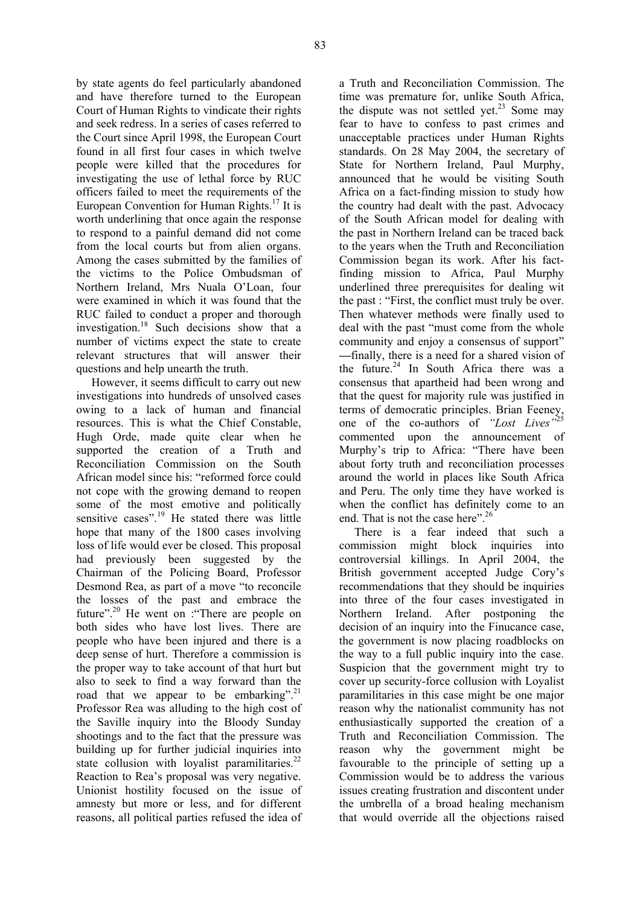by state agents do feel particularly abandoned and have therefore turned to the European Court of Human Rights to vindicate their rights and seek redress. In a series of cases referred to the Court since April 1998, the European Court found in all first four cases in which twelve people were killed that the procedures for investigating the use of lethal force by RUC officers failed to meet the requirements of the European Convention for Human Rights.17 It is worth underlining that once again the response to respond to a painful demand did not come from the local courts but from alien organs. Among the cases submitted by the families of the victims to the Police Ombudsman of Northern Ireland, Mrs Nuala O'Loan, four were examined in which it was found that the RUC failed to conduct a proper and thorough investigation.<sup>18</sup> Such decisions show that a number of victims expect the state to create relevant structures that will answer their questions and help unearth the truth.

However, it seems difficult to carry out new investigations into hundreds of unsolved cases owing to a lack of human and financial resources. This is what the Chief Constable, Hugh Orde, made quite clear when he supported the creation of a Truth and Reconciliation Commission on the South African model since his: "reformed force could not cope with the growing demand to reopen some of the most emotive and politically sensitive cases".<sup>19</sup> He stated there was little hope that many of the 1800 cases involving loss of life would ever be closed. This proposal had previously been suggested by the Chairman of the Policing Board, Professor Desmond Rea, as part of a move "to reconcile the losses of the past and embrace the future".<sup>20</sup> He went on : "There are people on both sides who have lost lives. There are people who have been injured and there is a deep sense of hurt. Therefore a commission is the proper way to take account of that hurt but also to seek to find a way forward than the road that we appear to be embarking".<sup>21</sup> Professor Rea was alluding to the high cost of the Saville inquiry into the Bloody Sunday shootings and to the fact that the pressure was building up for further judicial inquiries into state collusion with loyalist paramilitaries. $2^2$ Reaction to Rea's proposal was very negative. Unionist hostility focused on the issue of amnesty but more or less, and for different reasons, all political parties refused the idea of

a Truth and Reconciliation Commission. The time was premature for, unlike South Africa, the dispute was not settled yet.<sup>23</sup> Some may fear to have to confess to past crimes and unacceptable practices under Human Rights standards. On 28 May 2004, the secretary of State for Northern Ireland, Paul Murphy, announced that he would be visiting South Africa on a fact-finding mission to study how the country had dealt with the past. Advocacy of the South African model for dealing with the past in Northern Ireland can be traced back to the years when the Truth and Reconciliation Commission began its work. After his factfinding mission to Africa, Paul Murphy underlined three prerequisites for dealing wit the past : "First, the conflict must truly be over. Then whatever methods were finally used to deal with the past "must come from the whole community and enjoy a consensus of support" **—**finally, there is a need for a shared vision of the future. $24$  In South Africa there was a consensus that apartheid had been wrong and that the quest for majority rule was justified in terms of democratic principles. Brian Feeney, one of the co-authors of "Lost Lives" commented upon the announcement of Murphy's trip to Africa: "There have been about forty truth and reconciliation processes around the world in places like South Africa and Peru. The only time they have worked is when the conflict has definitely come to an end. That is not the case here".<sup>26</sup>

There is a fear indeed that such a commission might block inquiries into controversial killings. In April 2004, the British government accepted Judge Cory's recommendations that they should be inquiries into three of the four cases investigated in Northern Ireland. After postponing the decision of an inquiry into the Finucance case, the government is now placing roadblocks on the way to a full public inquiry into the case. Suspicion that the government might try to cover up security-force collusion with Loyalist paramilitaries in this case might be one major reason why the nationalist community has not enthusiastically supported the creation of a Truth and Reconciliation Commission. The reason why the government might be favourable to the principle of setting up a Commission would be to address the various issues creating frustration and discontent under the umbrella of a broad healing mechanism that would override all the objections raised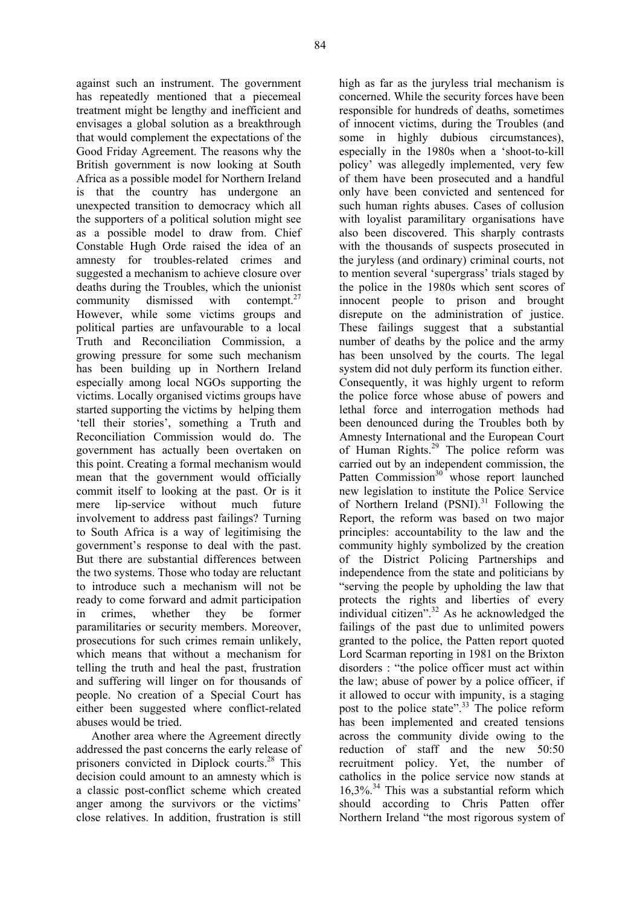against such an instrument. The government has repeatedly mentioned that a piecemeal treatment might be lengthy and inefficient and envisages a global solution as a breakthrough that would complement the expectations of the Good Friday Agreement. The reasons why the British government is now looking at South Africa as a possible model for Northern Ireland is that the country has undergone an unexpected transition to democracy which all the supporters of a political solution might see as a possible model to draw from. Chief Constable Hugh Orde raised the idea of an amnesty for troubles-related crimes and suggested a mechanism to achieve closure over deaths during the Troubles, which the unionist community dismissed with contempt. $27$ However, while some victims groups and political parties are unfavourable to a local Truth and Reconciliation Commission, a growing pressure for some such mechanism has been building up in Northern Ireland especially among local NGOs supporting the victims. Locally organised victims groups have started supporting the victims by helping them 'tell their stories', something a Truth and Reconciliation Commission would do. The government has actually been overtaken on this point. Creating a formal mechanism would mean that the government would officially commit itself to looking at the past. Or is it mere lip-service without much future involvement to address past failings? Turning to South Africa is a way of legitimising the government's response to deal with the past. But there are substantial differences between the two systems. Those who today are reluctant to introduce such a mechanism will not be ready to come forward and admit participation in crimes, whether they be former paramilitaries or security members. Moreover, prosecutions for such crimes remain unlikely, which means that without a mechanism for telling the truth and heal the past, frustration and suffering will linger on for thousands of people. No creation of a Special Court has either been suggested where conflict-related abuses would be tried.

Another area where the Agreement directly addressed the past concerns the early release of prisoners convicted in Diplock courts.28 This decision could amount to an amnesty which is a classic post-conflict scheme which created anger among the survivors or the victims' close relatives. In addition, frustration is still

high as far as the juryless trial mechanism is concerned. While the security forces have been responsible for hundreds of deaths, sometimes of innocent victims, during the Troubles (and some in highly dubious circumstances), especially in the 1980s when a 'shoot-to-kill policy' was allegedly implemented, very few of them have been prosecuted and a handful only have been convicted and sentenced for such human rights abuses. Cases of collusion with loyalist paramilitary organisations have also been discovered. This sharply contrasts with the thousands of suspects prosecuted in the juryless (and ordinary) criminal courts, not to mention several 'supergrass' trials staged by the police in the 1980s which sent scores of innocent people to prison and brought disrepute on the administration of justice. These failings suggest that a substantial number of deaths by the police and the army has been unsolved by the courts. The legal system did not duly perform its function either. Consequently, it was highly urgent to reform the police force whose abuse of powers and lethal force and interrogation methods had been denounced during the Troubles both by Amnesty International and the European Court of Human Rights.<sup>29</sup> The police reform was carried out by an independent commission, the Patten Commission<sup>30</sup> whose report launched new legislation to institute the Police Service of Northern Ireland  $(PSNI)^{31}$  Following the Report, the reform was based on two major principles: accountability to the law and the community highly symbolized by the creation of the District Policing Partnerships and independence from the state and politicians by "serving the people by upholding the law that protects the rights and liberties of every individual citizen". $32$  As he acknowledged the failings of the past due to unlimited powers granted to the police, the Patten report quoted Lord Scarman reporting in 1981 on the Brixton disorders : "the police officer must act within the law; abuse of power by a police officer, if it allowed to occur with impunity, is a staging post to the police state".<sup>33</sup> The police reform has been implemented and created tensions across the community divide owing to the reduction of staff and the new 50:50 recruitment policy. Yet, the number of catholics in the police service now stands at  $16,3\%$ .<sup>34</sup> This was a substantial reform which should according to Chris Patten offer Northern Ireland "the most rigorous system of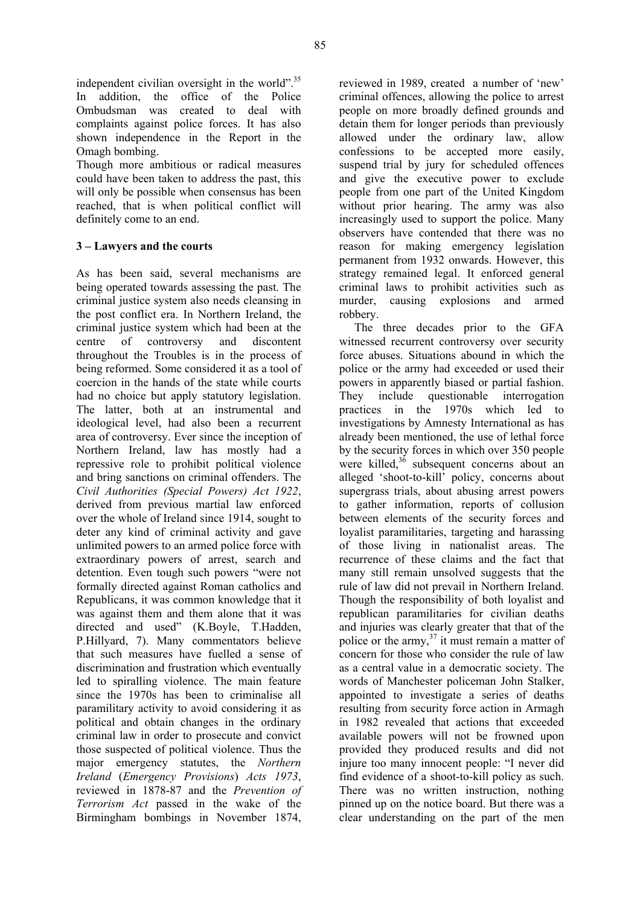independent civilian oversight in the world".<sup>35</sup> In addition, the office of the Police Ombudsman was created to deal with complaints against police forces. It has also shown independence in the Report in the Omagh bombing.

Though more ambitious or radical measures could have been taken to address the past, this will only be possible when consensus has been reached, that is when political conflict will definitely come to an end.

## **3 – Lawyers and the courts**

As has been said, several mechanisms are being operated towards assessing the past. The criminal justice system also needs cleansing in the post conflict era. In Northern Ireland, the criminal justice system which had been at the centre of controversy and discontent throughout the Troubles is in the process of being reformed. Some considered it as a tool of coercion in the hands of the state while courts had no choice but apply statutory legislation. The latter, both at an instrumental and ideological level, had also been a recurrent area of controversy. Ever since the inception of Northern Ireland, law has mostly had a repressive role to prohibit political violence and bring sanctions on criminal offenders. The *Civil Authorities (Special Powers) Act 1922*, derived from previous martial law enforced over the whole of Ireland since 1914, sought to deter any kind of criminal activity and gave unlimited powers to an armed police force with extraordinary powers of arrest, search and detention. Even tough such powers "were not formally directed against Roman catholics and Republicans, it was common knowledge that it was against them and them alone that it was directed and used" (K.Boyle, T.Hadden, P.Hillyard, 7). Many commentators believe that such measures have fuelled a sense of discrimination and frustration which eventually led to spiralling violence. The main feature since the 1970s has been to criminalise all paramilitary activity to avoid considering it as political and obtain changes in the ordinary criminal law in order to prosecute and convict those suspected of political violence. Thus the major emergency statutes, the *Northern Ireland* (*Emergency Provisions*) *Acts 1973*, reviewed in 1878-87 and the *Prevention of Terrorism Act* passed in the wake of the Birmingham bombings in November 1874,

reviewed in 1989, created a number of 'new' criminal offences, allowing the police to arrest people on more broadly defined grounds and detain them for longer periods than previously allowed under the ordinary law, allow confessions to be accepted more easily, suspend trial by jury for scheduled offences and give the executive power to exclude people from one part of the United Kingdom without prior hearing. The army was also increasingly used to support the police. Many observers have contended that there was no reason for making emergency legislation permanent from 1932 onwards. However, this strategy remained legal. It enforced general criminal laws to prohibit activities such as murder, causing explosions and armed robbery.

The three decades prior to the GFA witnessed recurrent controversy over security force abuses. Situations abound in which the police or the army had exceeded or used their powers in apparently biased or partial fashion. They include questionable interrogation practices in the 1970s which led to investigations by Amnesty International as has already been mentioned, the use of lethal force by the security forces in which over 350 people were killed, $3^6$  subsequent concerns about an alleged 'shoot-to-kill' policy, concerns about supergrass trials, about abusing arrest powers to gather information, reports of collusion between elements of the security forces and loyalist paramilitaries, targeting and harassing of those living in nationalist areas. The recurrence of these claims and the fact that many still remain unsolved suggests that the rule of law did not prevail in Northern Ireland. Though the responsibility of both loyalist and republican paramilitaries for civilian deaths and injuries was clearly greater that that of the police or the army, $37$  it must remain a matter of concern for those who consider the rule of law as a central value in a democratic society. The words of Manchester policeman John Stalker, appointed to investigate a series of deaths resulting from security force action in Armagh in 1982 revealed that actions that exceeded available powers will not be frowned upon provided they produced results and did not injure too many innocent people: "I never did find evidence of a shoot-to-kill policy as such. There was no written instruction, nothing pinned up on the notice board. But there was a clear understanding on the part of the men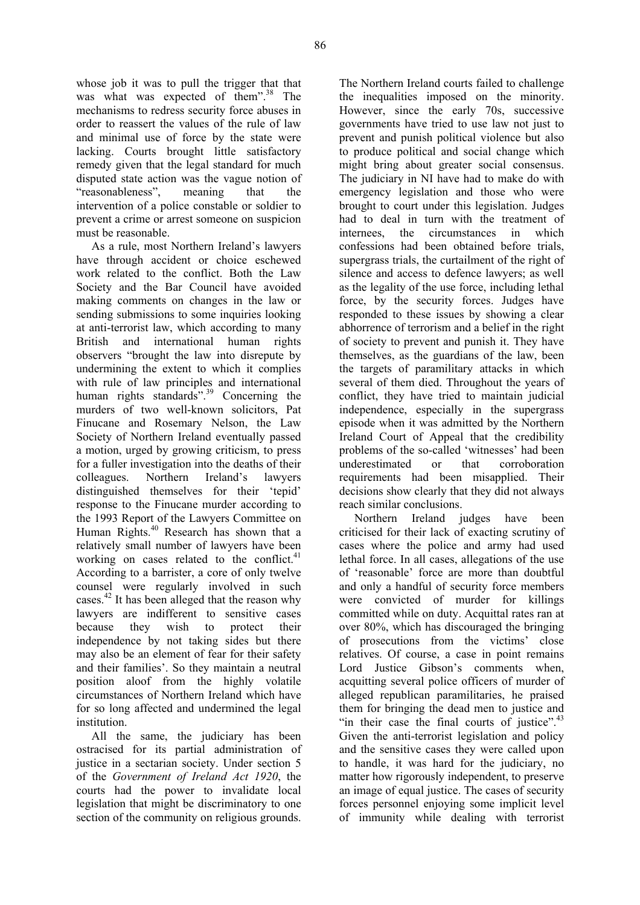whose job it was to pull the trigger that that was what was expected of them".<sup>38</sup> The mechanisms to redress security force abuses in order to reassert the values of the rule of law and minimal use of force by the state were lacking. Courts brought little satisfactory remedy given that the legal standard for much disputed state action was the vague notion of "reasonableness", meaning that the intervention of a police constable or soldier to prevent a crime or arrest someone on suspicion must be reasonable.

As a rule, most Northern Ireland's lawyers have through accident or choice eschewed work related to the conflict. Both the Law Society and the Bar Council have avoided making comments on changes in the law or sending submissions to some inquiries looking at anti-terrorist law, which according to many British and international human rights observers "brought the law into disrepute by undermining the extent to which it complies with rule of law principles and international human rights standards".<sup>39</sup> Concerning the murders of two well-known solicitors, Pat Finucane and Rosemary Nelson, the Law Society of Northern Ireland eventually passed a motion, urged by growing criticism, to press for a fuller investigation into the deaths of their colleagues. Northern Ireland's lawyers distinguished themselves for their 'tepid' response to the Finucane murder according to the 1993 Report of the Lawyers Committee on Human Rights.<sup>40</sup> Research has shown that a relatively small number of lawyers have been working on cases related to the conflict. $41$ According to a barrister, a core of only twelve counsel were regularly involved in such cases.<sup>42</sup> It has been alleged that the reason why lawyers are indifferent to sensitive cases because they wish to protect their independence by not taking sides but there may also be an element of fear for their safety and their families'. So they maintain a neutral position aloof from the highly volatile circumstances of Northern Ireland which have for so long affected and undermined the legal institution.

All the same, the judiciary has been ostracised for its partial administration of justice in a sectarian society. Under section 5 of the *Government of Ireland Act 1920*, the courts had the power to invalidate local legislation that might be discriminatory to one section of the community on religious grounds.

The Northern Ireland courts failed to challenge the inequalities imposed on the minority. However, since the early 70s, successive governments have tried to use law not just to prevent and punish political violence but also to produce political and social change which might bring about greater social consensus. The judiciary in NI have had to make do with emergency legislation and those who were brought to court under this legislation. Judges had to deal in turn with the treatment of internees, the circumstances in which confessions had been obtained before trials, supergrass trials, the curtailment of the right of silence and access to defence lawyers; as well as the legality of the use force, including lethal force, by the security forces. Judges have responded to these issues by showing a clear abhorrence of terrorism and a belief in the right of society to prevent and punish it. They have themselves, as the guardians of the law, been the targets of paramilitary attacks in which several of them died. Throughout the years of conflict, they have tried to maintain judicial independence, especially in the supergrass episode when it was admitted by the Northern Ireland Court of Appeal that the credibility problems of the so-called 'witnesses' had been underestimated or that corroboration requirements had been misapplied. Their decisions show clearly that they did not always reach similar conclusions.

Northern Ireland judges have been criticised for their lack of exacting scrutiny of cases where the police and army had used lethal force. In all cases, allegations of the use of 'reasonable' force are more than doubtful and only a handful of security force members were convicted of murder for killings committed while on duty. Acquittal rates ran at over 80%, which has discouraged the bringing of prosecutions from the victims' close relatives. Of course, a case in point remains Lord Justice Gibson's comments when, acquitting several police officers of murder of alleged republican paramilitaries, he praised them for bringing the dead men to justice and "in their case the final courts of justice". $43$ Given the anti-terrorist legislation and policy and the sensitive cases they were called upon to handle, it was hard for the judiciary, no matter how rigorously independent, to preserve an image of equal justice. The cases of security forces personnel enjoying some implicit level of immunity while dealing with terrorist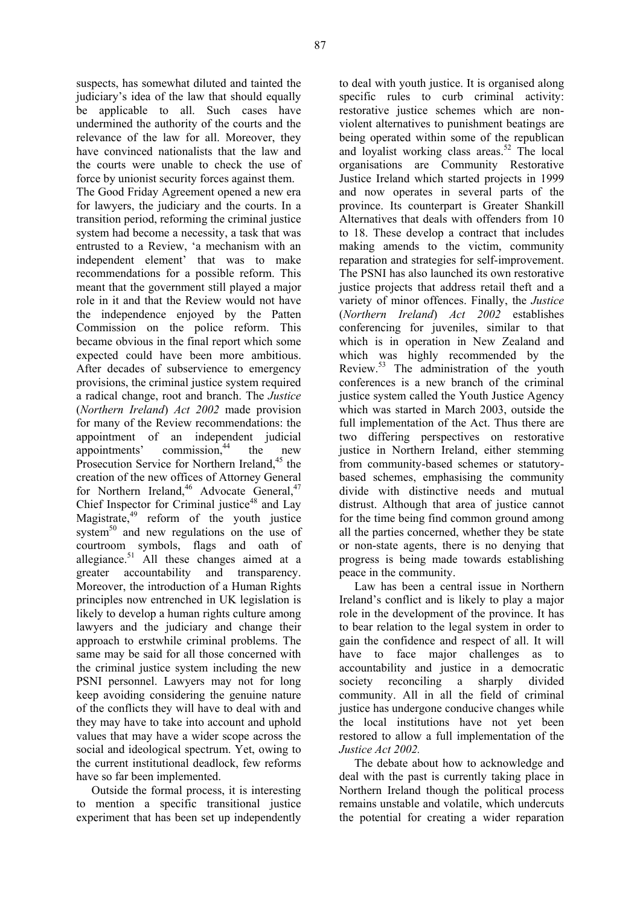suspects, has somewhat diluted and tainted the judiciary's idea of the law that should equally be applicable to all. Such cases have undermined the authority of the courts and the relevance of the law for all. Moreover, they have convinced nationalists that the law and the courts were unable to check the use of force by unionist security forces against them.

The Good Friday Agreement opened a new era for lawyers, the judiciary and the courts. In a transition period, reforming the criminal justice system had become a necessity, a task that was entrusted to a Review, 'a mechanism with an independent element' that was to make recommendations for a possible reform. This meant that the government still played a major role in it and that the Review would not have the independence enjoyed by the Patten Commission on the police reform. This became obvious in the final report which some expected could have been more ambitious. After decades of subservience to emergency provisions, the criminal justice system required a radical change, root and branch. The *Justice*  (*Northern Ireland*) *Act 2002* made provision for many of the Review recommendations: the appointment of an independent judicial appointments' commission, $44$  the new Prosecution Service for Northern Ireland,<sup>45</sup> the creation of the new offices of Attorney General for Northern Ireland,<sup>46</sup> Advocate General,  $47$ Chief Inspector for Criminal justice<sup>48</sup> and Lay Magistrate,49 reform of the youth justice system $^{50}$  and new regulations on the use of courtroom symbols, flags and oath of allegiance. $51$  All these changes aimed at a greater accountability and transparency. Moreover, the introduction of a Human Rights principles now entrenched in UK legislation is likely to develop a human rights culture among lawyers and the judiciary and change their approach to erstwhile criminal problems. The same may be said for all those concerned with the criminal justice system including the new PSNI personnel. Lawyers may not for long keep avoiding considering the genuine nature of the conflicts they will have to deal with and they may have to take into account and uphold values that may have a wider scope across the social and ideological spectrum. Yet, owing to the current institutional deadlock, few reforms have so far been implemented.

Outside the formal process, it is interesting to mention a specific transitional justice experiment that has been set up independently

to deal with youth justice. It is organised along specific rules to curb criminal activity: restorative justice schemes which are nonviolent alternatives to punishment beatings are being operated within some of the republican and loyalist working class areas.<sup>52</sup> The local organisations are Community Restorative Justice Ireland which started projects in 1999 and now operates in several parts of the province. Its counterpart is Greater Shankill Alternatives that deals with offenders from 10 to 18. These develop a contract that includes making amends to the victim, community reparation and strategies for self-improvement. The PSNI has also launched its own restorative justice projects that address retail theft and a variety of minor offences. Finally, the *Justice* (*Northern Ireland*) *Act 2002* establishes conferencing for juveniles, similar to that which is in operation in New Zealand and which was highly recommended by the Review.<sup>53</sup> The administration of the youth conferences is a new branch of the criminal justice system called the Youth Justice Agency which was started in March 2003, outside the full implementation of the Act. Thus there are two differing perspectives on restorative justice in Northern Ireland, either stemming from community-based schemes or statutorybased schemes, emphasising the community divide with distinctive needs and mutual distrust. Although that area of justice cannot for the time being find common ground among all the parties concerned, whether they be state or non-state agents, there is no denying that progress is being made towards establishing peace in the community.

Law has been a central issue in Northern Ireland's conflict and is likely to play a major role in the development of the province. It has to bear relation to the legal system in order to gain the confidence and respect of all. It will have to face major challenges as to accountability and justice in a democratic society reconciling a sharply divided community. All in all the field of criminal justice has undergone conducive changes while the local institutions have not yet been restored to allow a full implementation of the *Justice Act 2002.*

The debate about how to acknowledge and deal with the past is currently taking place in Northern Ireland though the political process remains unstable and volatile, which undercuts the potential for creating a wider reparation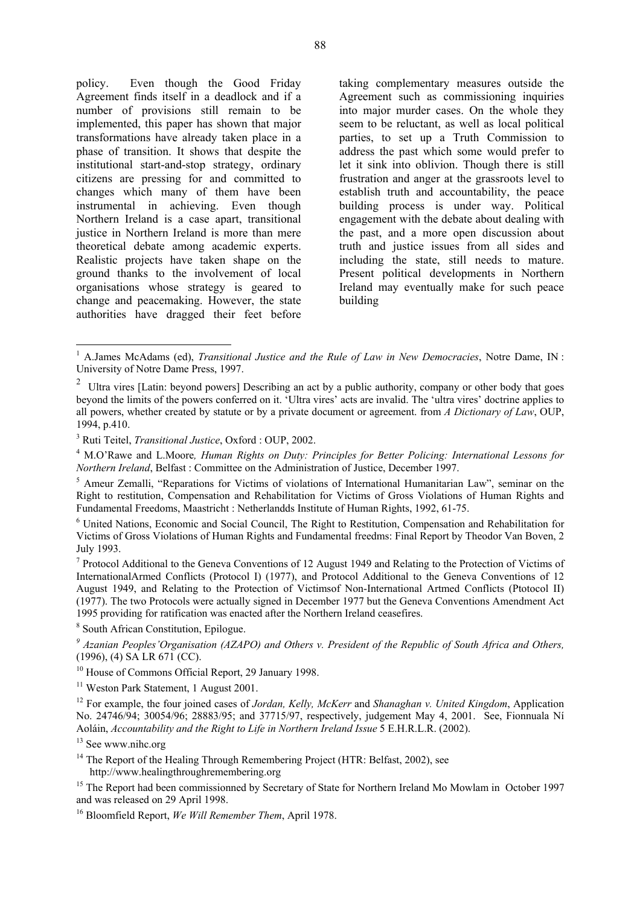policy. Even though the Good Friday Agreement finds itself in a deadlock and if a number of provisions still remain to be implemented, this paper has shown that major transformations have already taken place in a phase of transition. It shows that despite the institutional start-and-stop strategy, ordinary citizens are pressing for and committed to changes which many of them have been instrumental in achieving. Even though Northern Ireland is a case apart, transitional justice in Northern Ireland is more than mere theoretical debate among academic experts. Realistic projects have taken shape on the ground thanks to the involvement of local organisations whose strategy is geared to change and peacemaking. However, the state authorities have dragged their feet before

taking complementary measures outside the Agreement such as commissioning inquiries into major murder cases. On the whole they seem to be reluctant, as well as local political parties, to set up a Truth Commission to address the past which some would prefer to let it sink into oblivion. Though there is still frustration and anger at the grassroots level to establish truth and accountability, the peace building process is under way. Political engagement with the debate about dealing with the past, and a more open discussion about truth and justice issues from all sides and including the state, still needs to mature. Present political developments in Northern Ireland may eventually make for such peace building

8 South African Constitution, Epilogue.

<sup>11</sup> Weston Park Statement, 1 August 2001.

12 For example, the four joined cases of *Jordan, Kelly, McKerr* and *Shanaghan v. United Kingdom*, Application No. 24746/94; 30054/96; 28883/95; and 37715/97, respectively, judgement May 4, 2001. See, Fionnuala Ní Aoláin, *Accountability and the Right to Life in Northern Ireland Issue* 5 E.H.R.L.R. (2002).

<sup>13</sup> See www.nihc.org

 $\overline{a}$ 

<sup>14</sup> The Report of the Healing Through Remembering Project (HTR: Belfast, 2002), see http://www.healingthroughremembering.org

<sup>15</sup> The Report had been commissionned by Secretary of State for Northern Ireland Mo Mowlam in October 1997 and was released on 29 April 1998.

16 Bloomfield Report, *We Will Remember Them*, April 1978.

<sup>&</sup>lt;sup>1</sup> A.James McAdams (ed), *Transitional Justice and the Rule of Law in New Democracies*, Notre Dame, IN: University of Notre Dame Press, 1997.

<sup>&</sup>lt;sup>2</sup> Ultra vires [Latin: beyond powers] Describing an act by a public authority, company or other body that goes beyond the limits of the powers conferred on it. 'Ultra vires' acts are invalid. The 'ultra vires' doctrine applies to all powers, whether created by statute or by a private document or agreement. from *A Dictionary of Law*, OUP, 1994, p.410.

<sup>&</sup>lt;sup>3</sup> Ruti Teitel, *Transitional Justice*, Oxford : OUP, 2002.<br><sup>4</sup> M.O'Powe and J. Moore, *Human Pights on Duty, B* 

M.O'Rawe and L.Moore*, Human Rights on Duty: Principles for Better Policing: International Lessons for Northern Ireland*, Belfast : Committee on the Administration of Justice, December 1997.

<sup>&</sup>lt;sup>5</sup> Ameur Zemalli, "Reparations for Victims of violations of International Humanitarian Law", seminar on the Right to restitution, Compensation and Rehabilitation for Victims of Gross Violations of Human Rights and Fundamental Freedoms, Maastricht : Netherlandds Institute of Human Rights, 1992, 61-75.

United Nations, Economic and Social Council, The Right to Restitution, Compensation and Rehabilitation for Victims of Gross Violations of Human Rights and Fundamental freedms: Final Report by Theodor Van Boven, 2 July 1993.

<sup>&</sup>lt;sup>7</sup> Protocol Additional to the Geneva Conventions of 12 August 1949 and Relating to the Protection of Victims of InternationalArmed Conflicts (Protocol I) (1977), and Protocol Additional to the Geneva Conventions of 12 August 1949, and Relating to the Protection of Victimsof Non-International Artmed Conflicts (Ptotocol II) (1977). The two Protocols were actually signed in December 1977 but the Geneva Conventions Amendment Act 1995 providing for ratification was enacted after the Northern Ireland ceasefires.

*<sup>9</sup> Azanian Peoples'Organisation (AZAPO) and Others v. President of the Republic of South Africa and Others,* (1996), (4) SA LR 671 (CC).

<sup>&</sup>lt;sup>10</sup> House of Commons Official Report, 29 January 1998.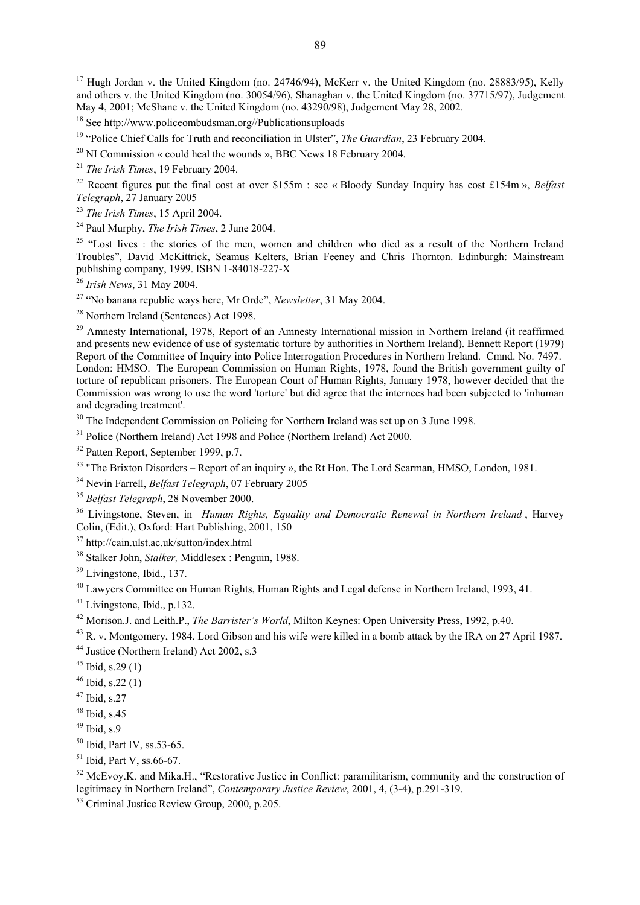<sup>17</sup> Hugh Jordan v. the United Kingdom (no. 24746/94), McKerr v. the United Kingdom (no. 28883/95), Kelly and others v. the United Kingdom (no. 30054/96), Shanaghan v. the United Kingdom (no. 37715/97), Judgement May 4, 2001; McShane v. the United Kingdom (no. 43290/98), Judgement May 28, 2002.

<sup>18</sup> See http://www.policeombudsman.org//Publicationsuploads<br><sup>19</sup> "Police Chief Calls for Truth and reconciliation in Ulster", *The Guardian*, 23 February 2004.<br><sup>20</sup> NI Commission « could heal the wounds », BBC News 18 Fe

<sup>21</sup> *The Irish Times*, 19 February 2004.<br><sup>22</sup> Recent figures put the final cost at over \$155m : see « Bloody Sunday Inquiry has cost £154m », *Belfast Telegraph*, 27 January 2005 Telegraph, 27 January 2005<br><sup>23</sup> The Irish Times, 15 April 2004.<br><sup>24</sup> Paul Murphy, *The Irish Times*, 2 June 2004.<br><sup>25</sup> "Lost lives : the stories of the men, women and children who died as a result of the Northern Ireland

Troubles", David McKittrick, Seamus Kelters, Brian Feeney and Chris Thornton. Edinburgh: Mainstream publishing company, 1999. ISBN 1-84018-227-X

<sup>26</sup> *Irish News*, 31 May 2004.<br><sup>27</sup> "No banana republic ways here, Mr Orde", *Newsletter*, 31 May 2004.

28 Northern Ireland (Sentences) Act 1998.

<sup>29</sup> Amnesty International, 1978, Report of an Amnesty International mission in Northern Ireland (it reaffirmed and presents new evidence of use of systematic torture by authorities in Northern Ireland). Bennett Report (1979) Report of the Committee of Inquiry into Police Interrogation Procedures in Northern Ireland. Cmnd. No. 7497. London: HMSO. The European Commission on Human Rights, 1978, found the British government guilty of torture of republican prisoners. The European Court of Human Rights, January 1978, however decided that the Commission was wrong to use the word 'torture' but did agree that the internees had been subjected to 'inhuman and degrading treatment'.

<sup>30</sup> The Independent Commission on Policing for Northern Ireland was set up on 3 June 1998.

<sup>31</sup> Police (Northern Ireland) Act 1998 and Police (Northern Ireland) Act 2000.

32 Patten Report, September 1999, p.7.

<sup>33</sup> "The Brixton Disorders – Report of an inquiry », the Rt Hon. The Lord Scarman, HMSO, London, 1981.

34 Nevin Farrell, *Belfast Telegraph*, 07 February 2005

<sup>35</sup> *Belfast Telegraph*, 28 November 2000.<br><sup>36</sup> Livingstone, Steven, in *Human Rights, Equality and Democratic Renewal in Northern Ireland* , Harvey Colin, (Edit.), Oxford: Hart Publishing, 2001, 150<br><sup>37</sup> http://cain.ulst.ac.uk/sutton/index.html

38 Stalker John, *Stalker,* Middlesex : Penguin, 1988.

39 Livingstone, Ibid., 137.

40 Lawyers Committee on Human Rights, Human Rights and Legal defense in Northern Ireland, 1993, 41.

41 Livingstone, Ibid., p.132.

<sup>42</sup> Morison.J. and Leith.P., *The Barrister's World*, Milton Keynes: Open University Press, 1992, p.40.<br><sup>43</sup> R. v. Montgomery, 1984. Lord Gibson and his wife were killed in a bomb attack by the IRA on 27 April 1987.

44 Justice (Northern Ireland) Act 2002, s.3

 $45$  Ibid, s. 29 (1)

 $46$  Ibid, s.22 (1)

 $47$  Ibid, s.27

 $48$  Ibid, s. 45

 $49$  Ibid, s.9

<sup>50</sup> Ibid, Part IV, ss.53-65.

 $51$  Ibid, Part V, ss.66-67.

52 McEvoy.K. and Mika.H., "Restorative Justice in Conflict: paramilitarism, community and the construction of legitimacy in Northern Ireland", *Contemporary Justice Review*, 2001, 4, (3-4), p.291-319.

53 Criminal Justice Review Group, 2000, p.205.